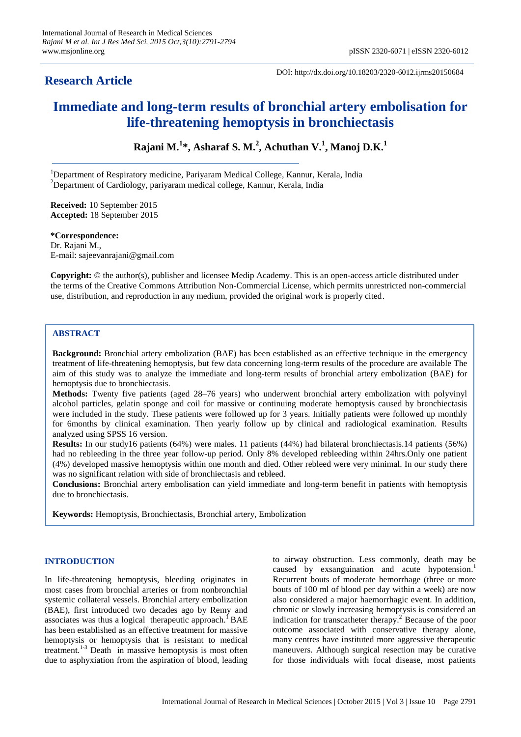# **Research Article**

DOI: http://dx.doi.org/10.18203/2320-6012.ijrms20150684

# **Immediate and long-term results of bronchial artery embolisation for life-threatening hemoptysis in bronchiectasis**

**Rajani M.<sup>1</sup> \*, Asharaf S. M.<sup>2</sup> , Achuthan V.<sup>1</sup> , Manoj D.K.<sup>1</sup>**

<sup>1</sup>Department of Respiratory medicine, Pariyaram Medical College, Kannur, Kerala, India <sup>2</sup>Department of Cardiology, pariyaram medical college, Kannur, Kerala, India

**Received:** 10 September 2015 **Accepted:** 18 September 2015

**\*Correspondence:** Dr. Rajani M., E-mail: sajeevanrajani@gmail.com

**Copyright:** © the author(s), publisher and licensee Medip Academy. This is an open-access article distributed under the terms of the Creative Commons Attribution Non-Commercial License, which permits unrestricted non-commercial use, distribution, and reproduction in any medium, provided the original work is properly cited.

# **ABSTRACT**

**Background:** Bronchial artery embolization (BAE) has been established as an effective technique in the emergency treatment of life-threatening hemoptysis, but few data concerning long-term results of the procedure are available The aim of this study was to analyze the immediate and long-term results of bronchial artery embolization (BAE) for hemoptysis due to bronchiectasis.

**Methods:** Twenty five patients (aged 28–76 years) who underwent bronchial artery embolization with polyvinyl alcohol particles, gelatin sponge and coil for massive or continuing moderate hemoptysis caused by bronchiectasis were included in the study. These patients were followed up for 3 years. Initially patients were followed up monthly for 6months by clinical examination. Then yearly follow up by clinical and radiological examination. Results analyzed using SPSS 16 version.

**Results:** In our study16 patients (64%) were males. 11 patients (44%) had bilateral bronchiectasis.14 patients (56%) had no rebleeding in the three year follow-up period. Only 8% developed rebleeding within 24hrs.Only one patient (4%) developed massive hemoptysis within one month and died. Other rebleed were very minimal. In our study there was no significant relation with side of bronchiectasis and rebleed.

**Conclusions:** Bronchial artery embolisation can yield immediate and long-term benefit in patients with hemoptysis due to bronchiectasis.

**Keywords:** Hemoptysis, Bronchiectasis, Bronchial artery, Embolization

# **INTRODUCTION**

In life-threatening hemoptysis, bleeding originates in most cases from bronchial arteries or from nonbronchial systemic collateral vessels. Bronchial artery embolization (BAE), first introduced two decades ago by Remy and associates was thus a logical therapeutic approach.<sup>1</sup>BAE has been established as an effective treatment for massive hemoptysis or hemoptysis that is resistant to medical treatment.<sup>1-3</sup> Death in massive hemoptysis is most often due to asphyxiation from the aspiration of blood, leading to airway obstruction. Less commonly, death may be caused by exsanguination and acute hypotension. 1 Recurrent bouts of moderate hemorrhage (three or more bouts of 100 ml of blood per day within a week) are now also considered a major haemorrhagic event. In addition, chronic or slowly increasing hemoptysis is considered an indication for transcatheter therapy. <sup>2</sup> Because of the poor outcome associated with conservative therapy alone, many centres have instituted more aggressive therapeutic maneuvers. Although surgical resection may be curative for those individuals with focal disease, most patients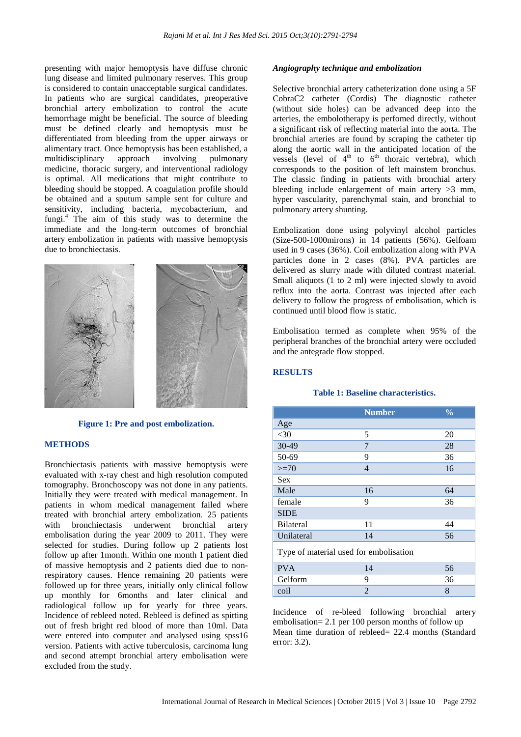presenting with major hemoptysis have diffuse chronic lung disease and limited pulmonary reserves. This group is considered to contain unacceptable surgical candidates. In patients who are surgical candidates, preoperative bronchial artery embolization to control the acute hemorrhage might be beneficial. The source of bleeding must be defined clearly and hemoptysis must be differentiated from bleeding from the upper airways or alimentary tract. Once hemoptysis has been established, a multidisciplinary approach involving pulmonary multidisciplinary approach involving pulmonary medicine, thoracic surgery, and interventional radiology is optimal. All medications that might contribute to bleeding should be stopped. A coagulation profile should be obtained and a sputum sample sent for culture and sensitivity, including bacteria, mycobacterium, and fungi. <sup>4</sup> The aim of this study was to determine the immediate and the long-term outcomes of bronchial artery embolization in patients with massive hemoptysis due to bronchiectasis.



# **Figure 1: Pre and post embolization.**

# **METHODS**

Bronchiectasis patients with massive hemoptysis were evaluated with x-ray chest and high resolution computed tomography. Bronchoscopy was not done in any patients. Initially they were treated with medical management. In patients in whom medical management failed where treated with bronchial artery embolization. 25 patients with bronchiectasis underwent bronchial artery embolisation during the year 2009 to 2011. They were selected for studies. During follow up 2 patients lost follow up after 1month. Within one month 1 patient died of massive hemoptysis and 2 patients died due to nonrespiratory causes. Hence remaining 20 patients were followed up for three years, initially only clinical follow up monthly for 6months and later clinical and radiological follow up for yearly for three years. Incidence of rebleed noted. Rebleed is defined as spitting out of fresh bright red blood of more than 10ml. Data were entered into computer and analysed using spss16 version. Patients with active tuberculosis, carcinoma lung and second attempt bronchial artery embolisation were excluded from the study.

# *Angiography technique and embolization*

Selective bronchial artery catheterization done using a 5F CobraC2 catheter (Cordis) The diagnostic catheter (without side holes) can be advanced deep into the arteries, the embolotherapy is perfomed directly, without a significant risk of reflecting material into the aorta. The bronchial arteries are found by scraping the catheter tip along the aortic wall in the anticipated location of the vessels (level of  $4<sup>th</sup>$  to  $6<sup>th</sup>$  thoraic vertebra), which corresponds to the position of left mainstem bronchus. The classic finding in patients with bronchial artery bleeding include enlargement of main artery  $>3$  mm, hyper vascularity, parenchymal stain, and bronchial to pulmonary artery shunting.

Embolization done using polyvinyl alcohol particles (Size-500-1000mirons) in 14 patients (56%). Gelfoam used in 9 cases (36%). Coil embolization along with PVA particles done in 2 cases (8%). PVA particles are delivered as slurry made with diluted contrast material. Small aliquots (1 to 2 ml) were injected slowly to avoid reflux into the aorta. Contrast was injected after each delivery to follow the progress of embolisation, which is continued until blood flow is static.

Embolisation termed as complete when 95% of the peripheral branches of the bronchial artery were occluded and the antegrade flow stopped.

# **RESULTS**

#### **Table 1: Baseline characteristics.**

|                                        | <b>Number</b>  | $\frac{0}{0}$ |  |  |
|----------------------------------------|----------------|---------------|--|--|
| Age                                    |                |               |  |  |
| $<$ 30                                 | 5              | 20            |  |  |
| $30 - 49$                              | 7              | 28            |  |  |
| 50-69                                  | 9              | 36            |  |  |
| $>=70$                                 | $\overline{4}$ | 16            |  |  |
| <b>Sex</b>                             |                |               |  |  |
| Male                                   | 16             | 64            |  |  |
| female                                 | 9              | 36            |  |  |
| <b>SIDE</b>                            |                |               |  |  |
| <b>Bilateral</b>                       | 11             | 44            |  |  |
| Unilateral                             | 14             | 56            |  |  |
| Type of material used for embolisation |                |               |  |  |
| <b>PVA</b>                             | 14             | 56            |  |  |
| Gelform                                | 9              | 36            |  |  |
| coil                                   | 2              | 8             |  |  |

Incidence of re-bleed following bronchial artery embolisation= 2.1 per 100 person months of follow up Mean time duration of rebleed= 22.4 months (Standard error: 3.2).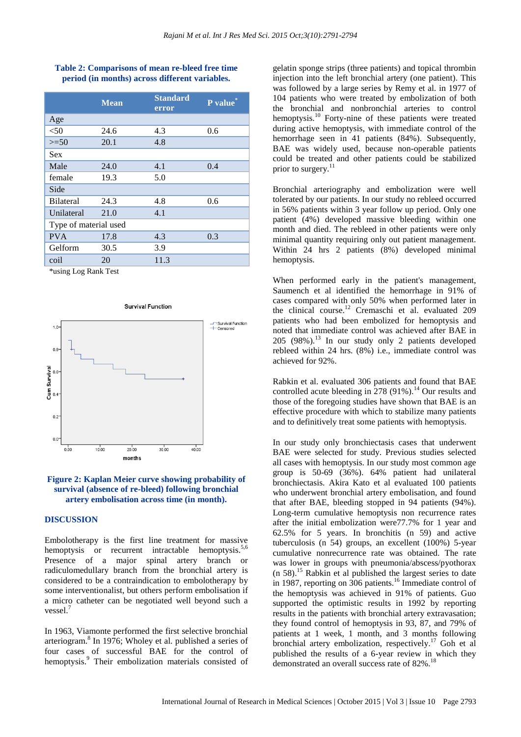#### **Table 2: Comparisons of mean re-bleed free time period (in months) across different variables.**

|                       | <b>Mean</b> | <b>Standard</b><br>error | P value |  |
|-----------------------|-------------|--------------------------|---------|--|
| Age                   |             |                          |         |  |
| $<$ 50                | 24.6        | 4.3                      | 0.6     |  |
| $>=50$                | 20.1        | 4.8                      |         |  |
| <b>Sex</b>            |             |                          |         |  |
| Male                  | 24.0        | 4.1                      | 0.4     |  |
| female                | 19.3        | 5.0                      |         |  |
| Side                  |             |                          |         |  |
| <b>Bilateral</b>      | 24.3        | 4.8                      | 0.6     |  |
| Unilateral            | 21.0        | 4.1                      |         |  |
| Type of material used |             |                          |         |  |
| <b>PVA</b>            | 17.8        | 4.3                      | 0.3     |  |
| Gelform               | 30.5        | 3.9                      |         |  |
| coil                  | 20          | 11.3                     |         |  |

\*using Log Rank Test



#### **Figure 2: Kaplan Meier curve showing probability of survival (absence of re-bleed) following bronchial artery embolisation across time (in month).**

#### **DISCUSSION**

Embolotherapy is the first line treatment for massive hemoptysis or recurrent intractable hemoptysis.<sup>5,6</sup> Presence of a major spinal artery branch or radiculomedullary branch from the bronchial artery is considered to be a contraindication to embolotherapy by some interventionalist, but others perform embolisation if a micro catheter can be negotiated well beyond such a vessel. 7

In 1963, Viamonte performed the first selective bronchial arteriogram. 8 In 1976; Wholey et al. published a series of four cases of successful BAE for the control of hemoptysis.<sup>9</sup> Their embolization materials consisted of gelatin sponge strips (three patients) and topical thrombin injection into the left bronchial artery (one patient). This was followed by a large series by Remy et al. in 1977 of 104 patients who were treated by embolization of both the bronchial and nonbronchial arteries to control hemoptysis.<sup>10</sup> Forty-nine of these patients were treated during active hemoptysis, with immediate control of the hemorrhage seen in 41 patients (84%). Subsequently, BAE was widely used, because non-operable patients could be treated and other patients could be stabilized prior to surgery.<sup>11</sup>

Bronchial arteriography and embolization were well tolerated by our patients. In our study no rebleed occurred in 56% patients within 3 year follow up period. Only one patient (4%) developed massive bleeding within one month and died. The rebleed in other patients were only minimal quantity requiring only out patient management. Within 24 hrs 2 patients (8%) developed minimal hemoptysis.

When performed early in the patient's management, Saumench et al identified the hemorrhage in 91% of cases compared with only 50% when performed later in the clinical course.<sup>12</sup> Cremaschi et al. evaluated 209 patients who had been embolized for hemoptysis and noted that immediate control was achieved after BAE in  $205$  (98%).<sup>13</sup> In our study only 2 patients developed rebleed within 24 hrs. (8%) i.e., immediate control was achieved for 92%.

Rabkin et al. evaluated 306 patients and found that BAE controlled acute bleeding in  $278 (91\%)$ .<sup>14</sup> Our results and those of the foregoing studies have shown that BAE is an effective procedure with which to stabilize many patients and to definitively treat some patients with hemoptysis.

In our study only bronchiectasis cases that underwent BAE were selected for study. Previous studies selected all cases with hemoptysis. In our study most common age group is 50-69 (36%). 64% patient had unilateral bronchiectasis. Akira Kato et al evaluated 100 patients who underwent bronchial artery embolisation, and found that after BAE, bleeding stopped in 94 patients (94%). Long-term cumulative hemoptysis non recurrence rates after the initial embolization were77.7% for 1 year and 62.5% for 5 years. In bronchitis (n 59) and active tuberculosis (n 54) groups, an excellent (100%) 5-year cumulative nonrecurrence rate was obtained. The rate was lower in groups with pneumonia/abscess/pyothorax (n 58). <sup>15</sup> Rabkin et al published the largest series to date in 1987, reporting on 306 patients.<sup>16</sup> Immediate control of the hemoptysis was achieved in 91% of patients. Guo supported the optimistic results in 1992 by reporting results in the patients with bronchial artery extravasation; they found control of hemoptysis in 93, 87, and 79% of patients at 1 week, 1 month, and 3 months following bronchial artery embolization, respectively.<sup>17</sup> Goh et al published the results of a 6-year review in which they demonstrated an overall success rate of 82%.<sup>1</sup>